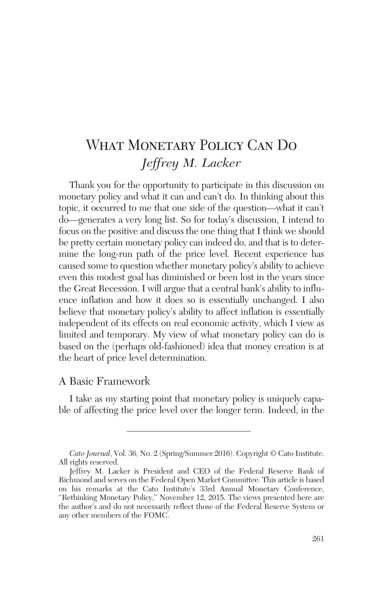# What Monetary Policy Can Do *Jeffrey M. Lacker*

Thank you for the opportunity to participate in this discussion on monetary policy and what it can and can't do. In thinking about this topic, it occurred to me that one side of the question—what it can't do—generates a very long list. So for today's discussion, I intend to focus on the positive and discuss the one thing that I think we should be pretty certain monetary policy can indeed do, and that is to determine the long-run path of the price level. Recent experience has caused some to question whether monetary policy's ability to achieve even this modest goal has diminished or been lost in the years since the Great Recession. I will argue that a central bank's ability to influence inflation and how it does so is essentially unchanged. I also believe that monetary policy's ability to affect inflation is essentially independent of its effects on real economic activity, which I view as limited and temporary. My view of what monetary policy can do is based on the (perhaps old-fashioned) idea that money creation is at the heart of price level determination.

### A Basic Framework

I take as my starting point that monetary policy is uniquely capable of affecting the price level over the longer term. Indeed, in the

*Cato Journal*, Vol. 36, No. 2 (Spring/Summer 2016). Copyright © Cato Institute. All rights reserved.

Jeffrey M. Lacker is President and CEO of the Federal Reserve Bank of Richmond and serves on the Federal Open Market Committee. This article is based on his remarks at the Cato Institute's 33rd Annual Monetary Conference, "Rethinking Monetary Policy," November 12, 2015. The views presented here are the author's and do not necessarily reflect those of the Federal Reserve System or any other members of the FOMC.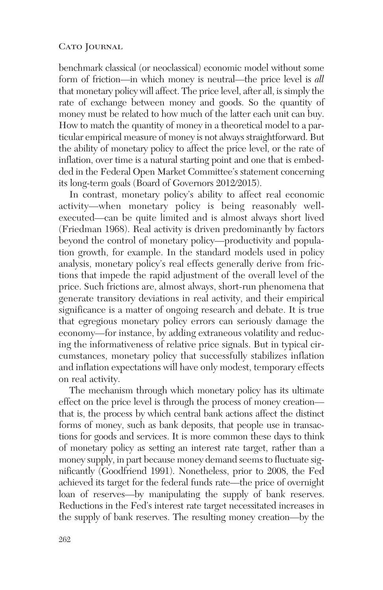benchmark classical (or neoclassical) economic model without some form of friction—in which money is neutral—the price level is *all* that monetary policy will affect. The price level, after all, is simply the rate of exchange between money and goods. So the quantity of money must be related to how much of the latter each unit can buy. How to match the quantity of money in a theoretical model to a particular empirical measure of money is not always straightforward. But the ability of monetary policy to affect the price level, or the rate of inflation, over time is a natural starting point and one that is embedded in the Federal Open Market Committee's statement concerning its long-term goals (Board of Governors 2012/2015).

In contrast, monetary policy's ability to affect real economic activity—when monetary policy is being reasonably wellexecuted—can be quite limited and is almost always short lived (Friedman 1968). Real activity is driven predominantly by factors beyond the control of monetary policy—productivity and population growth, for example. In the standard models used in policy analysis, monetary policy's real effects generally derive from frictions that impede the rapid adjustment of the overall level of the price. Such frictions are, almost always, short-run phenomena that generate transitory deviations in real activity, and their empirical significance is a matter of ongoing research and debate. It is true that egregious monetary policy errors can seriously damage the economy—for instance, by adding extraneous volatility and reducing the informativeness of relative price signals. But in typical circumstances, monetary policy that successfully stabilizes inflation and inflation expectations will have only modest, temporary effects on real activity.

The mechanism through which monetary policy has its ultimate effect on the price level is through the process of money creation that is, the process by which central bank actions affect the distinct forms of money, such as bank deposits, that people use in transactions for goods and services. It is more common these days to think of monetary policy as setting an interest rate target, rather than a money supply, in part because money demand seems to fluctuate significantly (Goodfriend 1991). Nonetheless, prior to 2008, the Fed achieved its target for the federal funds rate––the price of overnight loan of reserves—by manipulating the supply of bank reserves. Reductions in the Fed's interest rate target necessitated increases in the supply of bank reserves. The resulting money creation—by the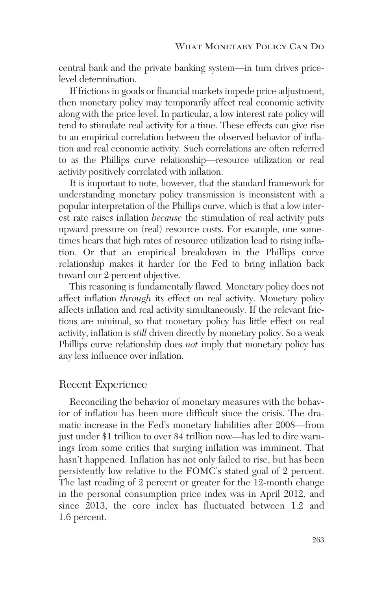central bank and the private banking system—in turn drives pricelevel determination.

If frictions in goods or financial markets impede price adjustment, then monetary policy may temporarily affect real economic activity along with the price level. In particular, a low interest rate policy will tend to stimulate real activity for a time. These effects can give rise to an empirical correlation between the observed behavior of inflation and real economic activity. Such correlations are often referred to as the Phillips curve relationship—resource utilization or real activity positively correlated with inflation.

It is important to note, however, that the standard framework for understanding monetary policy transmission is inconsistent with a popular interpretation of the Phillips curve, which is that a low interest rate raises inflation *because* the stimulation of real activity puts upward pressure on (real) resource costs. For example, one sometimes hears that high rates of resource utilization lead to rising inflation. Or that an empirical breakdown in the Phillips curve relationship makes it harder for the Fed to bring inflation back toward our 2 percent objective.

This reasoning is fundamentally flawed. Monetary policy does not affect inflation *through* its effect on real activity. Monetary policy affects inflation and real activity simultaneously. If the relevant frictions are minimal, so that monetary policy has little effect on real activity, inflation is *still* driven directly by monetary policy. So a weak Phillips curve relationship does *not* imply that monetary policy has any less influence over inflation.

## Recent Experience

Reconciling the behavior of monetary measures with the behavior of inflation has been more difficult since the crisis. The dramatic increase in the Fed's monetary liabilities after 2008—from just under \$1 trillion to over \$4 trillion now—has led to dire warnings from some critics that surging inflation was imminent. That hasn't happened. Inflation has not only failed to rise, but has been persistently low relative to the FOMC's stated goal of 2 percent. The last reading of 2 percent or greater for the 12-month change in the personal consumption price index was in April 2012, and since 2013, the core index has fluctuated between 1.2 and 1.6 percent.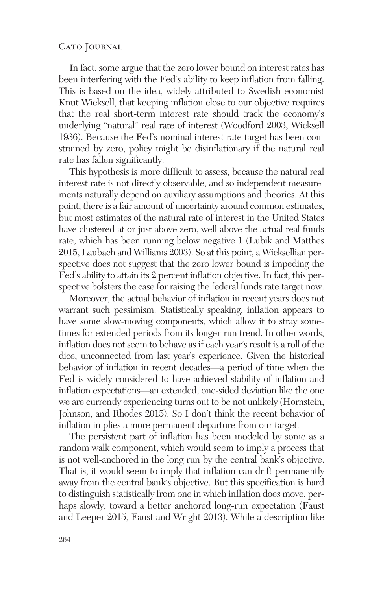In fact, some argue that the zero lower bound on interest rates has been interfering with the Fed's ability to keep inflation from falling. This is based on the idea, widely attributed to Swedish economist Knut Wicksell, that keeping inflation close to our objective requires that the real short-term interest rate should track the economy's underlying "natural" real rate of interest (Woodford 2003, Wicksell 1936). Because the Fed's nominal interest rate target has been constrained by zero, policy might be disinflationary if the natural real rate has fallen significantly.

This hypothesis is more difficult to assess, because the natural real interest rate is not directly observable, and so independent measurements naturally depend on auxiliary assumptions and theories. At this point, there is a fair amount of uncertainty around common estimates, but most estimates of the natural rate of interest in the United States have clustered at or just above zero, well above the actual real funds rate, which has been running below negative 1 (Lubik and Matthes 2015, Laubach and Williams 2003). So at this point, a Wicksellian perspective does not suggest that the zero lower bound is impeding the Fed's ability to attain its 2 percent inflation objective. In fact, this perspective bolsters the case for raising the federal funds rate target now.

Moreover, the actual behavior of inflation in recent years does not warrant such pessimism. Statistically speaking, inflation appears to have some slow-moving components, which allow it to stray sometimes for extended periods from its longer-run trend. In other words, inflation does not seem to behave as if each year's result is a roll of the dice, unconnected from last year's experience. Given the historical behavior of inflation in recent decades—a period of time when the Fed is widely considered to have achieved stability of inflation and inflation expectations—an extended, one-sided deviation like the one we are currently experiencing turns out to be not unlikely (Hornstein, Johnson, and Rhodes 2015). So I don't think the recent behavior of inflation implies a more permanent departure from our target.

The persistent part of inflation has been modeled by some as a random walk component, which would seem to imply a process that is not well-anchored in the long run by the central bank's objective. That is, it would seem to imply that inflation can drift permanently away from the central bank's objective. But this specification is hard to distinguish statistically from one in which inflation does move, perhaps slowly, toward a better anchored long-run expectation (Faust and Leeper 2015, Faust and Wright 2013). While a description like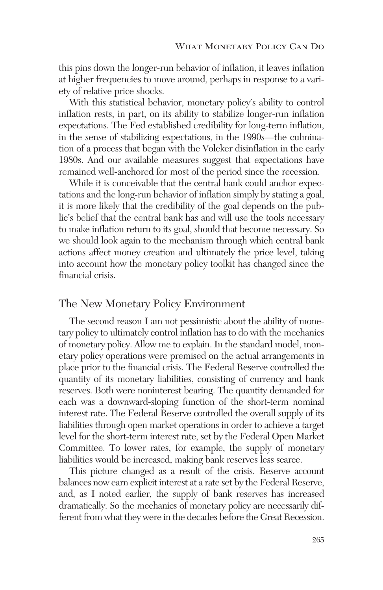this pins down the longer-run behavior of inflation, it leaves inflation at higher frequencies to move around, perhaps in response to a variety of relative price shocks.

With this statistical behavior, monetary policy's ability to control inflation rests, in part, on its ability to stabilize longer-run inflation expectations. The Fed established credibility for long-term inflation, in the sense of stabilizing expectations, in the 1990s—the culmination of a process that began with the Volcker disinflation in the early 1980s. And our available measures suggest that expectations have remained well-anchored for most of the period since the recession.

While it is conceivable that the central bank could anchor expectations and the long-run behavior of inflation simply by stating a goal, it is more likely that the credibility of the goal depends on the public's belief that the central bank has and will use the tools necessary to make inflation return to its goal, should that become necessary. So we should look again to the mechanism through which central bank actions affect money creation and ultimately the price level, taking into account how the monetary policy toolkit has changed since the financial crisis.

## The New Monetary Policy Environment

The second reason I am not pessimistic about the ability of monetary policy to ultimately control inflation has to do with the mechanics of monetary policy. Allow me to explain. In the standard model, monetary policy operations were premised on the actual arrangements in place prior to the financial crisis. The Federal Reserve controlled the quantity of its monetary liabilities, consisting of currency and bank reserves. Both were noninterest bearing. The quantity demanded for each was a downward-sloping function of the short-term nominal interest rate. The Federal Reserve controlled the overall supply of its liabilities through open market operations in order to achieve a target level for the short-term interest rate, set by the Federal Open Market Committee. To lower rates, for example, the supply of monetary liabilities would be increased, making bank reserves less scarce.

This picture changed as a result of the crisis. Reserve account balances now earn explicit interest at a rate set by the Federal Reserve, and, as I noted earlier, the supply of bank reserves has increased dramatically. So the mechanics of monetary policy are necessarily different from what they were in the decades before the Great Recession.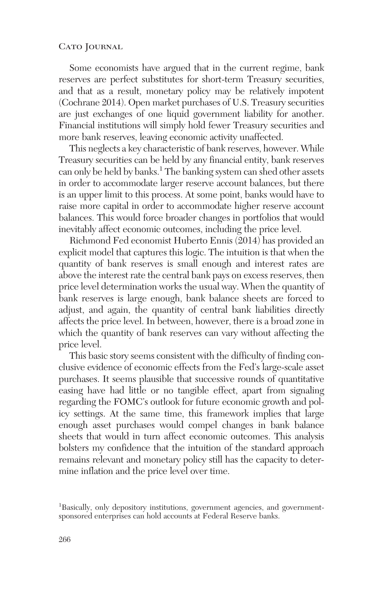Some economists have argued that in the current regime, bank reserves are perfect substitutes for short-term Treasury securities, and that as a result, monetary policy may be relatively impotent (Cochrane 2014). Open market purchases of U.S. Treasury securities are just exchanges of one liquid government liability for another. Financial institutions will simply hold fewer Treasury securities and more bank reserves, leaving economic activity unaffected.

This neglects a key characteristic of bank reserves, however. While Treasury securities can be held by any financial entity, bank reserves can only be held by banks.<sup>1</sup> The banking system can shed other assets in order to accommodate larger reserve account balances, but there is an upper limit to this process. At some point, banks would have to raise more capital in order to accommodate higher reserve account balances. This would force broader changes in portfolios that would inevitably affect economic outcomes, including the price level.

Richmond Fed economist Huberto Ennis (2014) has provided an explicit model that captures this logic. The intuition is that when the quantity of bank reserves is small enough and interest rates are above the interest rate the central bank pays on excess reserves, then price level determination works the usual way. When the quantity of bank reserves is large enough, bank balance sheets are forced to adjust, and again, the quantity of central bank liabilities directly affects the price level. In between, however, there is a broad zone in which the quantity of bank reserves can vary without affecting the price level.

This basic story seems consistent with the difficulty of finding conclusive evidence of economic effects from the Fed's large-scale asset purchases. It seems plausible that successive rounds of quantitative easing have had little or no tangible effect, apart from signaling regarding the FOMC's outlook for future economic growth and policy settings. At the same time, this framework implies that large enough asset purchases would compel changes in bank balance sheets that would in turn affect economic outcomes. This analysis bolsters my confidence that the intuition of the standard approach remains relevant and monetary policy still has the capacity to determine inflation and the price level over time.

<sup>&</sup>lt;sup>1</sup>Basically, only depository institutions, government agencies, and governmentsponsored enterprises can hold accounts at Federal Reserve banks.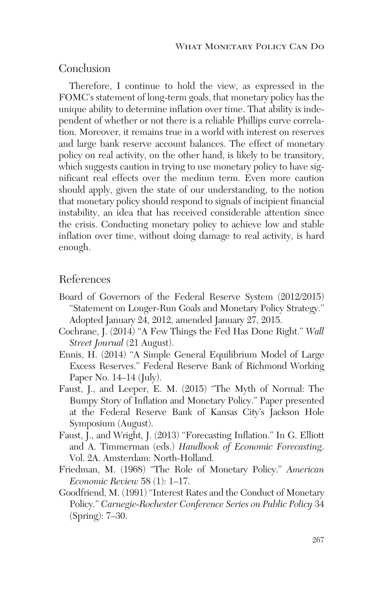## Conclusion

Therefore, I continue to hold the view, as expressed in the FOMC's statement of long-term goals, that monetary policy has the unique ability to determine inflation over time. That ability is independent of whether or not there is a reliable Phillips curve correlation. Moreover, it remains true in a world with interest on reserves and large bank reserve account balances. The effect of monetary policy on real activity, on the other hand, is likely to be transitory, which suggests caution in trying to use monetary policy to have significant real effects over the medium term. Even more caution should apply, given the state of our understanding, to the notion that monetary policy should respond to signals of incipient financial instability, an idea that has received considerable attention since the crisis. Conducting monetary policy to achieve low and stable inflation over time, without doing damage to real activity, is hard enough.

# References

- Board of Governors of the Federal Reserve System (2012/2015) "Statement on Longer-Run Goals and Monetary Policy Strategy." Adopted January 24, 2012, amended January 27, 2015.
- Cochrane, J. (2014) "A Few Things the Fed Has Done Right." *Wall Street Journal* (21 August).
- Ennis, H. (2014) "A Simple General Equilibrium Model of Large Excess Reserves." Federal Reserve Bank of Richmond Working Paper No. 14–14 (July).
- Faust, J., and Leeper, E. M. (2015) "The Myth of Normal: The Bumpy Story of Inflation and Monetary Policy." Paper presented at the Federal Reserve Bank of Kansas City's Jackson Hole Symposium (August).
- Faust, J., and Wright, J. (2013) "Forecasting Inflation." In G. Elliott and A. Timmerman (eds.) *Handbook of Economic Forecasting*. Vol. 2A. Amsterdam: North-Holland.
- Friedman, M. (1968) "The Role of Monetary Policy." *American Economic Review* 58 (1): 1–17.
- Goodfriend, M. (1991) "Interest Rates and the Conduct of Monetary Policy." *Carnegie-Rochester Conference Series on Public Policy* 34 (Spring): 7–30.